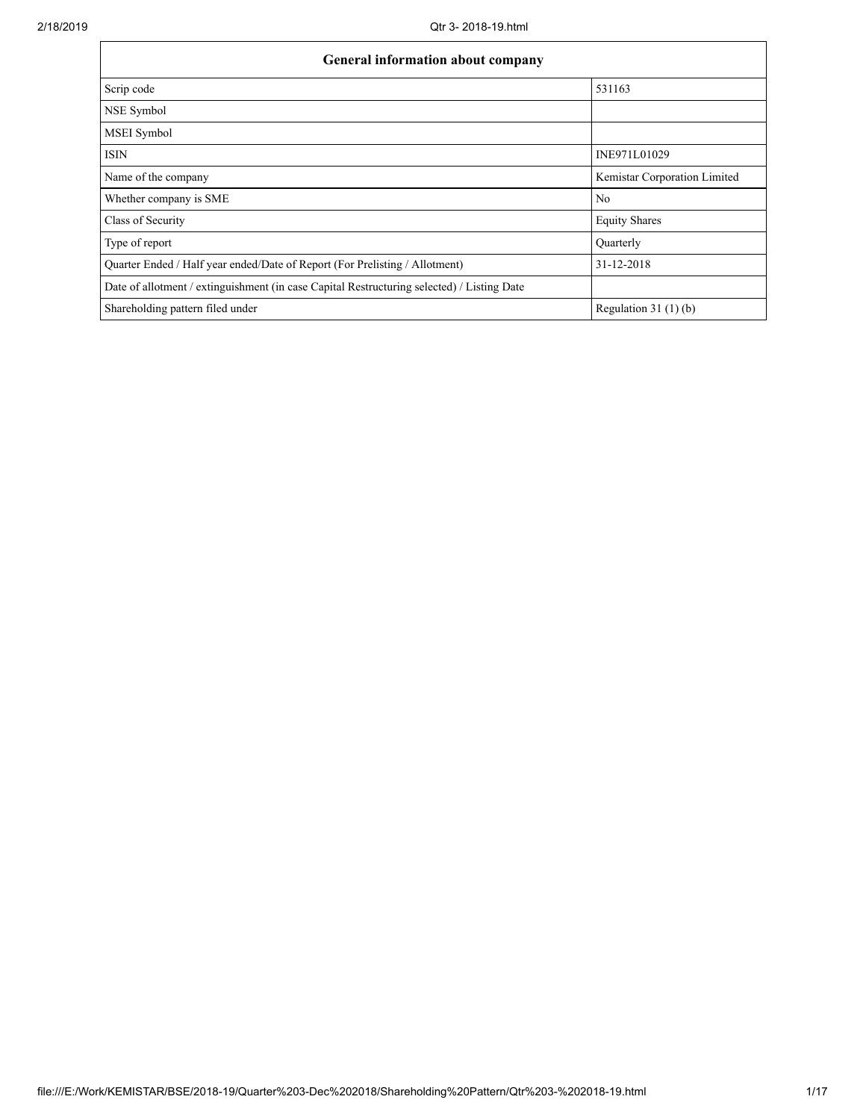| <b>General information about company</b>                                                   |                              |  |  |  |  |  |  |
|--------------------------------------------------------------------------------------------|------------------------------|--|--|--|--|--|--|
| Scrip code                                                                                 | 531163                       |  |  |  |  |  |  |
| NSE Symbol                                                                                 |                              |  |  |  |  |  |  |
| <b>MSEI</b> Symbol                                                                         |                              |  |  |  |  |  |  |
| <b>ISIN</b>                                                                                | INE971L01029                 |  |  |  |  |  |  |
| Name of the company                                                                        | Kemistar Corporation Limited |  |  |  |  |  |  |
| Whether company is SME                                                                     | N <sub>0</sub>               |  |  |  |  |  |  |
| Class of Security                                                                          | <b>Equity Shares</b>         |  |  |  |  |  |  |
| Type of report                                                                             | Ouarterly                    |  |  |  |  |  |  |
| Quarter Ended / Half year ended/Date of Report (For Prelisting / Allotment)                | 31-12-2018                   |  |  |  |  |  |  |
| Date of allotment / extinguishment (in case Capital Restructuring selected) / Listing Date |                              |  |  |  |  |  |  |
| Shareholding pattern filed under                                                           | Regulation 31 $(1)(b)$       |  |  |  |  |  |  |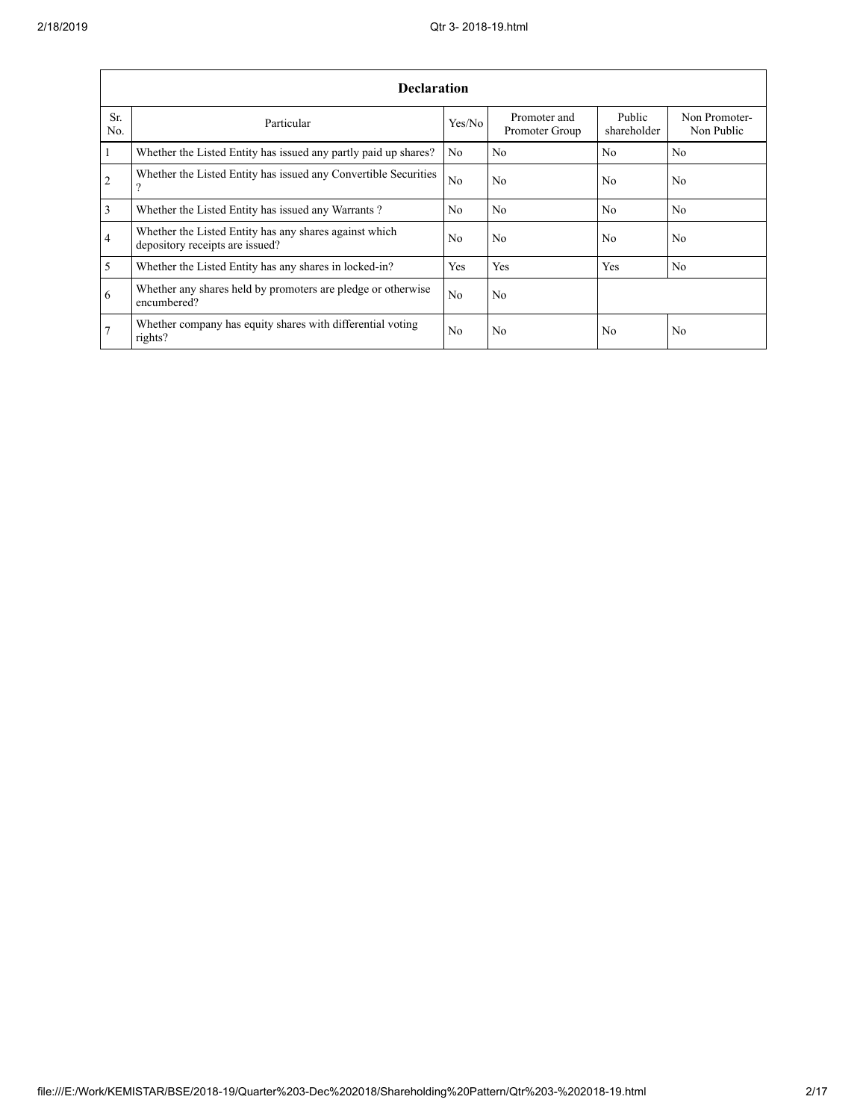|                 | <b>Declaration</b>                                                                        |                |                                |                       |                             |  |  |  |  |
|-----------------|-------------------------------------------------------------------------------------------|----------------|--------------------------------|-----------------------|-----------------------------|--|--|--|--|
| Sr.<br>No.      | Particular                                                                                | Yes/No         | Promoter and<br>Promoter Group | Public<br>shareholder | Non Promoter-<br>Non Public |  |  |  |  |
| $\mathbf{1}$    | Whether the Listed Entity has issued any partly paid up shares?                           | N <sub>0</sub> | No                             | N <sub>0</sub>        | N <sub>0</sub>              |  |  |  |  |
| 2               | Whether the Listed Entity has issued any Convertible Securities<br>?                      | N <sub>0</sub> | No.                            | N <sub>0</sub>        | N <sub>0</sub>              |  |  |  |  |
| $\overline{3}$  | Whether the Listed Entity has issued any Warrants?                                        | N <sub>0</sub> | N <sub>0</sub>                 | N <sub>0</sub>        | N <sub>0</sub>              |  |  |  |  |
| $\overline{4}$  | Whether the Listed Entity has any shares against which<br>depository receipts are issued? | N <sub>0</sub> | No.                            | N <sub>0</sub>        | N <sub>0</sub>              |  |  |  |  |
| 5               | Whether the Listed Entity has any shares in locked-in?                                    | Yes            | Yes                            | Yes                   | N <sub>0</sub>              |  |  |  |  |
| 6               | Whether any shares held by promoters are pledge or otherwise<br>encumbered?               | N <sub>0</sub> | No.                            |                       |                             |  |  |  |  |
| $7\phantom{.0}$ | Whether company has equity shares with differential voting<br>rights?                     | N <sub>0</sub> | N <sub>0</sub>                 | N <sub>0</sub>        | N <sub>0</sub>              |  |  |  |  |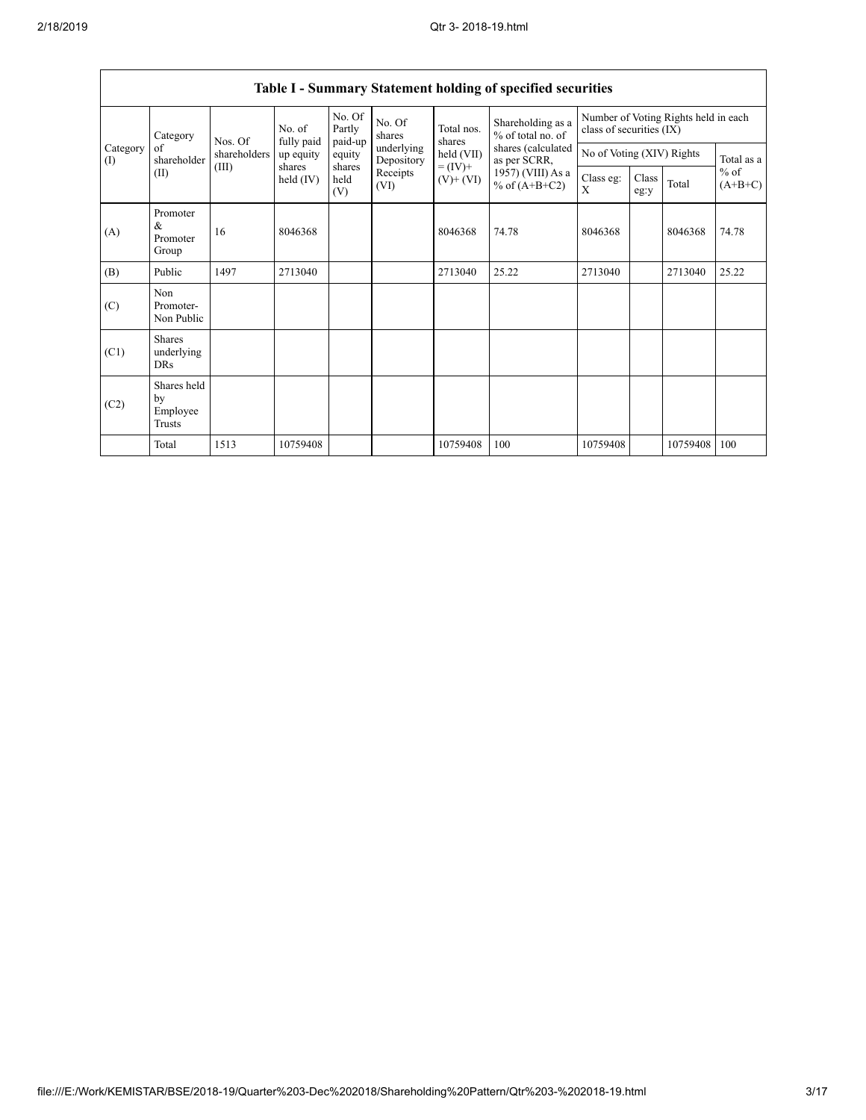| Category<br>Category<br>of<br>(I) |                                                | Nos. Of      | No. of<br>fully paid  | No. Of<br>Partly<br>paid-up | No. Of<br>shares         | Total nos.<br>shares<br>held (VII) | Shareholding as a<br>% of total no. of<br>shares (calculated<br>as per SCRR, | Number of Voting Rights held in each<br>class of securities (IX) |               |            |                     |
|-----------------------------------|------------------------------------------------|--------------|-----------------------|-----------------------------|--------------------------|------------------------------------|------------------------------------------------------------------------------|------------------------------------------------------------------|---------------|------------|---------------------|
|                                   | shareholder                                    | shareholders | up equity             | equity                      | underlying<br>Depository |                                    |                                                                              | No of Voting (XIV) Rights                                        |               | Total as a |                     |
|                                   | (II)                                           | (III)        | shares<br>held $(IV)$ | shares<br>held<br>(V)       | Receipts<br>(VI)         | $= (IV) +$<br>$(V)$ + $(VI)$       | 1957) (VIII) As a<br>% of $(A+B+C2)$                                         | Class eg:<br>X                                                   | Class<br>eg:y | Total      | $%$ of<br>$(A+B+C)$ |
| (A)                               | Promoter<br>&<br>Promoter<br>Group             | 16           | 8046368               |                             |                          | 8046368                            | 74.78                                                                        | 8046368                                                          |               | 8046368    | 74.78               |
| (B)                               | Public                                         | 1497         | 2713040               |                             |                          | 2713040                            | 25.22                                                                        | 2713040                                                          |               | 2713040    | 25.22               |
| (C)                               | Non<br>Promoter-<br>Non Public                 |              |                       |                             |                          |                                    |                                                                              |                                                                  |               |            |                     |
| (C1)                              | <b>Shares</b><br>underlying<br><b>DRs</b>      |              |                       |                             |                          |                                    |                                                                              |                                                                  |               |            |                     |
| (C2)                              | Shares held<br>by<br>Employee<br><b>Trusts</b> |              |                       |                             |                          |                                    |                                                                              |                                                                  |               |            |                     |
|                                   | Total                                          | 1513         | 10759408              |                             |                          | 10759408                           | 100                                                                          | 10759408                                                         |               | 10759408   | 100                 |

# **Table I - Summary Statement holding of specified securities**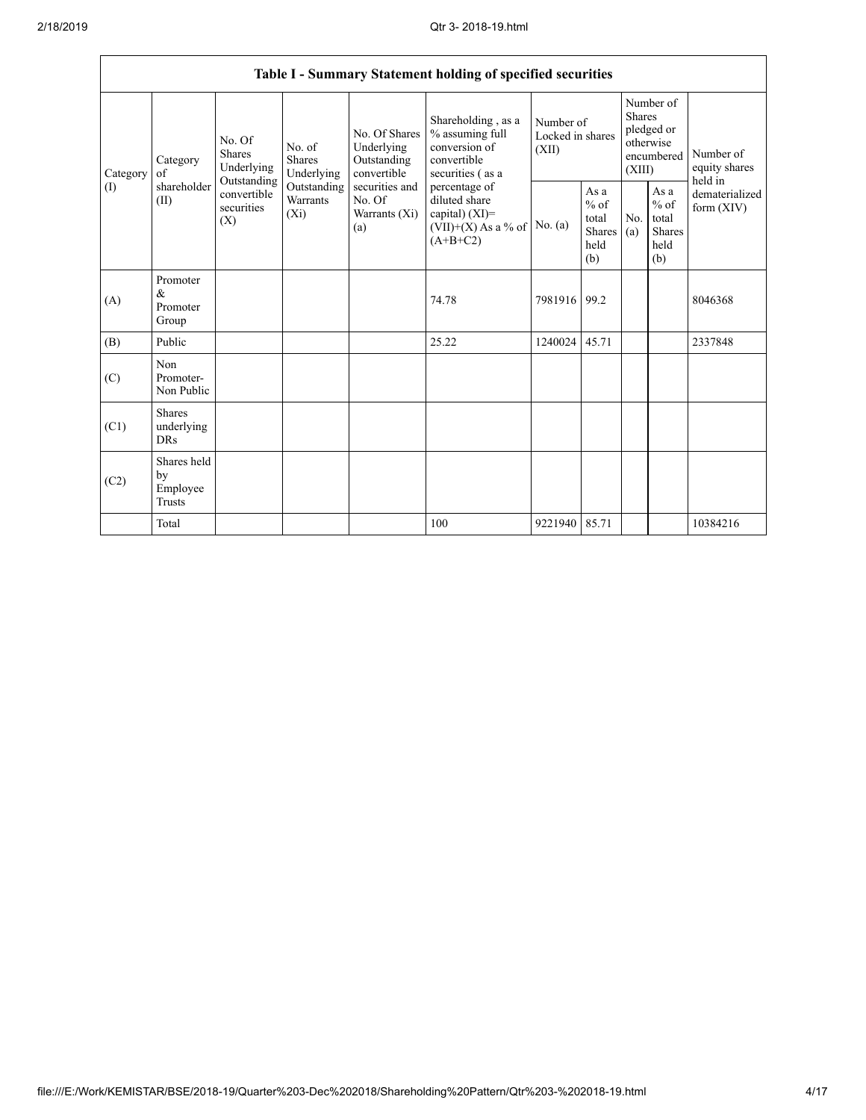|                               |                                                                                                                                |                                |                                                  |                                                                                            | Table I - Summary Statement holding of specified securities |                                                                                           |                                        |                                                         |                                                                               |          |                                       |
|-------------------------------|--------------------------------------------------------------------------------------------------------------------------------|--------------------------------|--------------------------------------------------|--------------------------------------------------------------------------------------------|-------------------------------------------------------------|-------------------------------------------------------------------------------------------|----------------------------------------|---------------------------------------------------------|-------------------------------------------------------------------------------|----------|---------------------------------------|
| Category<br>of<br>(1)<br>(II) | No. Of<br><b>Shares</b><br>Category<br>Underlying<br>Outstanding<br>shareholder<br>convertible<br>securities<br>$(X_i)$<br>(X) |                                |                                                  | No. of<br><b>Shares</b><br>Underlying                                                      | No. Of Shares<br>Underlying<br>Outstanding<br>convertible   | Shareholding, as a<br>% assuming full<br>conversion of<br>convertible<br>securities (as a | Number of<br>Locked in shares<br>(XII) |                                                         | Number of<br><b>Shares</b><br>pledged or<br>otherwise<br>encumbered<br>(XIII) |          | Number of<br>equity shares<br>held in |
|                               |                                                                                                                                | Outstanding<br><b>Warrants</b> | securities and<br>No. Of<br>Warrants (Xi)<br>(a) | percentage of<br>diluted share<br>capital) $(XI)$ =<br>$(VII)+(X)$ As a % of<br>$(A+B+C2)$ | No. $(a)$                                                   | As a<br>$%$ of<br>total<br>Shares<br>held<br>(b)                                          | N <sub>0</sub><br>(a)                  | As a<br>$%$ of<br>total<br><b>Shares</b><br>held<br>(b) | dematerialized<br>form $(XIV)$                                                |          |                                       |
| (A)                           | Promoter<br>&<br>Promoter<br>Group                                                                                             |                                |                                                  |                                                                                            | 74.78                                                       | 7981916                                                                                   | 99.2                                   |                                                         |                                                                               | 8046368  |                                       |
| (B)                           | Public                                                                                                                         |                                |                                                  |                                                                                            | 25.22                                                       | 1240024                                                                                   | 45.71                                  |                                                         |                                                                               | 2337848  |                                       |
| (C)                           | Non<br>Promoter-<br>Non Public                                                                                                 |                                |                                                  |                                                                                            |                                                             |                                                                                           |                                        |                                                         |                                                                               |          |                                       |
| (C1)                          | <b>Shares</b><br>underlying<br><b>DRs</b>                                                                                      |                                |                                                  |                                                                                            |                                                             |                                                                                           |                                        |                                                         |                                                                               |          |                                       |
| (C2)                          | Shares held<br>by<br>Employee<br>Trusts                                                                                        |                                |                                                  |                                                                                            |                                                             |                                                                                           |                                        |                                                         |                                                                               |          |                                       |
|                               | Total                                                                                                                          |                                |                                                  |                                                                                            | 100                                                         | 9221940 85.71                                                                             |                                        |                                                         |                                                                               | 10384216 |                                       |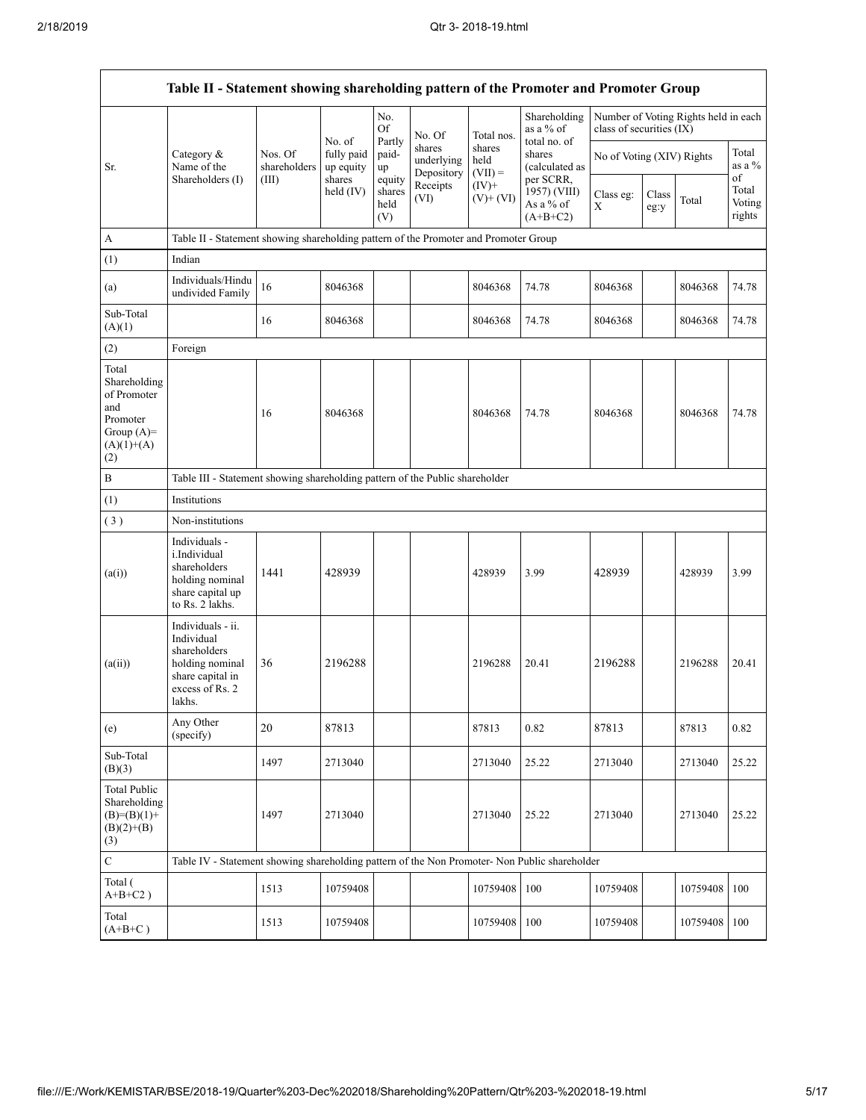|                                                                                                | Table II - Statement showing shareholding pattern of the Promoter and Promoter Group                                |                                                                              |                                   |                                 |                                    |                             |                                                      |                           |               |                                      |                           |
|------------------------------------------------------------------------------------------------|---------------------------------------------------------------------------------------------------------------------|------------------------------------------------------------------------------|-----------------------------------|---------------------------------|------------------------------------|-----------------------------|------------------------------------------------------|---------------------------|---------------|--------------------------------------|---------------------------|
|                                                                                                |                                                                                                                     |                                                                              |                                   | No.<br><b>Of</b>                | No. Of                             | Total nos.                  | Shareholding<br>as a % of<br>total no. of            | class of securities (IX)  |               | Number of Voting Rights held in each |                           |
| Sr.                                                                                            | Category &<br>Name of the                                                                                           | Nos. Of<br>shareholders                                                      | No. of<br>fully paid<br>up equity | Partly<br>paid-<br>up           | shares<br>underlying<br>Depository | shares<br>held<br>$(VII) =$ | shares<br>(calculated as                             | No of Voting (XIV) Rights |               |                                      | Total<br>as a %<br>of     |
|                                                                                                | Shareholders (I)                                                                                                    | (III)                                                                        | shares<br>held $(IV)$             | equity<br>shares<br>held<br>(V) | Receipts<br>(VI)                   | $(IV)+$<br>$(V)$ + $(VI)$   | per SCRR.<br>1957) (VIII)<br>As a % of<br>$(A+B+C2)$ | Class eg:<br>X            | Class<br>eg:y | Total                                | Total<br>Voting<br>rights |
| $\mathbf{A}$                                                                                   | Table II - Statement showing shareholding pattern of the Promoter and Promoter Group                                |                                                                              |                                   |                                 |                                    |                             |                                                      |                           |               |                                      |                           |
| (1)                                                                                            | Indian                                                                                                              |                                                                              |                                   |                                 |                                    |                             |                                                      |                           |               |                                      |                           |
| (a)                                                                                            | Individuals/Hindu<br>undivided Family                                                                               | 16                                                                           | 8046368                           |                                 |                                    | 8046368                     | 74.78                                                | 8046368                   |               | 8046368                              | 74.78                     |
| Sub-Total<br>(A)(1)                                                                            |                                                                                                                     | 16                                                                           | 8046368                           |                                 |                                    | 8046368                     | 74.78                                                | 8046368                   |               | 8046368                              | 74.78                     |
| (2)                                                                                            | Foreign                                                                                                             |                                                                              |                                   |                                 |                                    |                             |                                                      |                           |               |                                      |                           |
| Total<br>Shareholding<br>of Promoter<br>and<br>Promoter<br>Group $(A)=$<br>$(A)(1)+(A)$<br>(2) |                                                                                                                     | 16                                                                           | 8046368                           |                                 |                                    | 8046368                     | 74.78                                                | 8046368                   |               | 8046368                              | 74.78                     |
| $\, {\bf B}$                                                                                   |                                                                                                                     | Table III - Statement showing shareholding pattern of the Public shareholder |                                   |                                 |                                    |                             |                                                      |                           |               |                                      |                           |
| (1)                                                                                            | Institutions                                                                                                        |                                                                              |                                   |                                 |                                    |                             |                                                      |                           |               |                                      |                           |
| (3)                                                                                            | Non-institutions                                                                                                    |                                                                              |                                   |                                 |                                    |                             |                                                      |                           |               |                                      |                           |
| (a(i))                                                                                         | Individuals -<br>i.Individual<br>shareholders<br>holding nominal<br>share capital up<br>to Rs. 2 lakhs.             | 1441                                                                         | 428939                            |                                 |                                    | 428939                      | 3.99                                                 | 428939                    |               | 428939                               | 3.99                      |
| (a(ii))                                                                                        | Individuals - ii.<br>Individual<br>shareholders<br>holding nominal<br>share capital in<br>excess of Rs. 2<br>lakhs. | 36                                                                           | 2196288                           |                                 |                                    | 2196288                     | 20.41                                                | 2196288                   |               | 2196288                              | 20.41                     |
| (e)                                                                                            | Any Other<br>(specify)                                                                                              | 20                                                                           | 87813                             |                                 |                                    | 87813                       | 0.82                                                 | 87813                     |               | 87813                                | 0.82                      |
| Sub-Total<br>(B)(3)                                                                            |                                                                                                                     | 1497                                                                         | 2713040                           |                                 |                                    | 2713040                     | 25.22                                                | 2713040                   |               | 2713040                              | 25.22                     |
| <b>Total Public</b><br>Shareholding<br>$(B)=(B)(1)+$<br>$(B)(2)+(B)$<br>(3)                    |                                                                                                                     | 1497                                                                         | 2713040                           |                                 |                                    | 2713040                     | 25.22                                                | 2713040                   |               | 2713040                              | 25.22                     |
| $\mathbf C$                                                                                    | Table IV - Statement showing shareholding pattern of the Non Promoter- Non Public shareholder                       |                                                                              |                                   |                                 |                                    |                             |                                                      |                           |               |                                      |                           |
| Total (<br>$A+B+C2$ )                                                                          |                                                                                                                     | 1513                                                                         | 10759408                          |                                 |                                    | 10759408                    | 100                                                  | 10759408                  |               | 10759408                             | 100                       |
| Total<br>$(A+B+C)$                                                                             |                                                                                                                     | 1513                                                                         | 10759408                          |                                 |                                    | 10759408                    | 100                                                  | 10759408                  |               | 10759408                             | 100                       |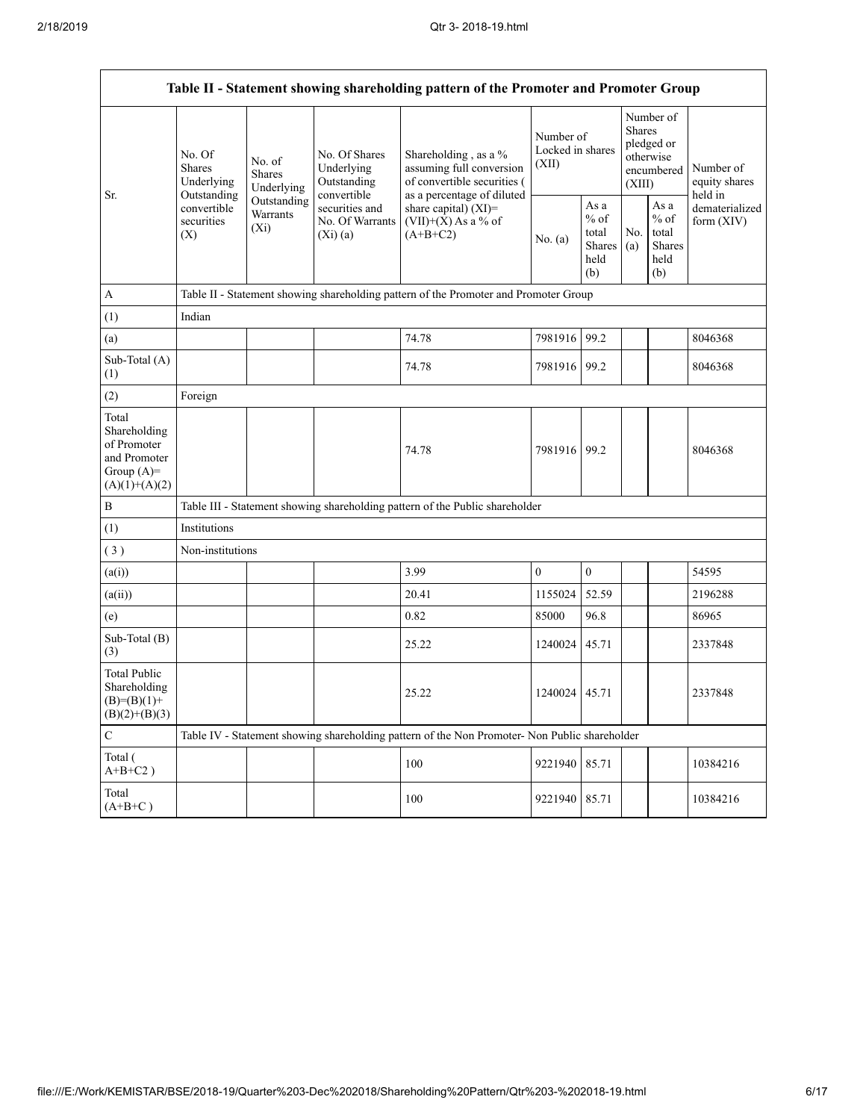|                                                                                         | Table II - Statement showing shareholding pattern of the Promoter and Promoter Group                                                                                    |                                                                                      |                                                             |                                                                                                               |                                        |                                                         |                                                                               |                                                            |                                       |  |  |
|-----------------------------------------------------------------------------------------|-------------------------------------------------------------------------------------------------------------------------------------------------------------------------|--------------------------------------------------------------------------------------|-------------------------------------------------------------|---------------------------------------------------------------------------------------------------------------|----------------------------------------|---------------------------------------------------------|-------------------------------------------------------------------------------|------------------------------------------------------------|---------------------------------------|--|--|
|                                                                                         | No. Of<br>No. of<br><b>Shares</b><br><b>Shares</b><br>Underlying<br>Underlying<br>Outstanding<br>Outstanding<br>convertible<br>Warrants<br>securities<br>$(X_i)$<br>(X) |                                                                                      | No. Of Shares<br>Underlying<br>Outstanding                  | Shareholding, as a %<br>assuming full conversion<br>of convertible securities (<br>as a percentage of diluted | Number of<br>Locked in shares<br>(XII) |                                                         | Number of<br><b>Shares</b><br>pledged or<br>otherwise<br>encumbered<br>(XIII) |                                                            | Number of<br>equity shares<br>held in |  |  |
| Sr.                                                                                     |                                                                                                                                                                         |                                                                                      | convertible<br>securities and<br>No. Of Warrants<br>(Xi)(a) | share capital) (XI)=<br>$(VII)+(X)$ As a % of<br>$(A+B+C2)$                                                   | No. (a)                                | As a<br>$%$ of<br>total<br><b>Shares</b><br>held<br>(b) | No.<br>(a)                                                                    | As $\mathbf a$<br>$%$ of<br>total<br>Shares<br>held<br>(b) | dematerialized<br>form $(XIV)$        |  |  |
| A                                                                                       |                                                                                                                                                                         | Table II - Statement showing shareholding pattern of the Promoter and Promoter Group |                                                             |                                                                                                               |                                        |                                                         |                                                                               |                                                            |                                       |  |  |
| (1)                                                                                     | Indian                                                                                                                                                                  |                                                                                      |                                                             |                                                                                                               |                                        |                                                         |                                                                               |                                                            |                                       |  |  |
| (a)                                                                                     |                                                                                                                                                                         |                                                                                      |                                                             | 74.78                                                                                                         | 7981916                                | 99.2                                                    |                                                                               |                                                            | 8046368                               |  |  |
| Sub-Total (A)<br>(1)                                                                    |                                                                                                                                                                         |                                                                                      |                                                             | 74.78                                                                                                         | 7981916 99.2                           |                                                         |                                                                               |                                                            | 8046368                               |  |  |
| (2)                                                                                     | Foreign                                                                                                                                                                 |                                                                                      |                                                             |                                                                                                               |                                        |                                                         |                                                                               |                                                            |                                       |  |  |
| Total<br>Shareholding<br>of Promoter<br>and Promoter<br>Group $(A)=$<br>$(A)(1)+(A)(2)$ |                                                                                                                                                                         |                                                                                      |                                                             | 74.78                                                                                                         | 7981916 99.2                           |                                                         |                                                                               |                                                            | 8046368                               |  |  |
| $\, {\bf B}$                                                                            |                                                                                                                                                                         |                                                                                      |                                                             | Table III - Statement showing shareholding pattern of the Public shareholder                                  |                                        |                                                         |                                                                               |                                                            |                                       |  |  |
| (1)                                                                                     | Institutions                                                                                                                                                            |                                                                                      |                                                             |                                                                                                               |                                        |                                                         |                                                                               |                                                            |                                       |  |  |
| (3)                                                                                     | Non-institutions                                                                                                                                                        |                                                                                      |                                                             |                                                                                                               |                                        |                                                         |                                                                               |                                                            |                                       |  |  |
| (a(i))                                                                                  |                                                                                                                                                                         |                                                                                      |                                                             | 3.99                                                                                                          | $\overline{0}$                         | $\boldsymbol{0}$                                        |                                                                               |                                                            | 54595                                 |  |  |
| (a(ii))                                                                                 |                                                                                                                                                                         |                                                                                      |                                                             | 20.41                                                                                                         | 1155024                                | 52.59                                                   |                                                                               |                                                            | 2196288                               |  |  |
| (e)                                                                                     |                                                                                                                                                                         |                                                                                      |                                                             | 0.82                                                                                                          | 85000                                  | 96.8                                                    |                                                                               |                                                            | 86965                                 |  |  |
| Sub-Total (B)<br>(3)                                                                    |                                                                                                                                                                         |                                                                                      |                                                             | 25.22                                                                                                         | 1240024                                | 45.71                                                   |                                                                               |                                                            | 2337848                               |  |  |
| <b>Total Public</b><br>Shareholding<br>$(B)=(B)(1)+$<br>$(B)(2)+(B)(3)$                 |                                                                                                                                                                         |                                                                                      |                                                             | 25.22                                                                                                         | 1240024   45.71                        |                                                         |                                                                               |                                                            | 2337848                               |  |  |
| $\mathbf C$                                                                             |                                                                                                                                                                         |                                                                                      |                                                             | Table IV - Statement showing shareholding pattern of the Non Promoter- Non Public shareholder                 |                                        |                                                         |                                                                               |                                                            |                                       |  |  |
| Total (<br>$A+B+C2$ )                                                                   |                                                                                                                                                                         |                                                                                      |                                                             | 100                                                                                                           | 9221940                                | 85.71                                                   |                                                                               |                                                            | 10384216                              |  |  |
| Total<br>$(A+B+C)$                                                                      |                                                                                                                                                                         |                                                                                      |                                                             | 100                                                                                                           | 9221940                                | 85.71                                                   |                                                                               |                                                            | 10384216                              |  |  |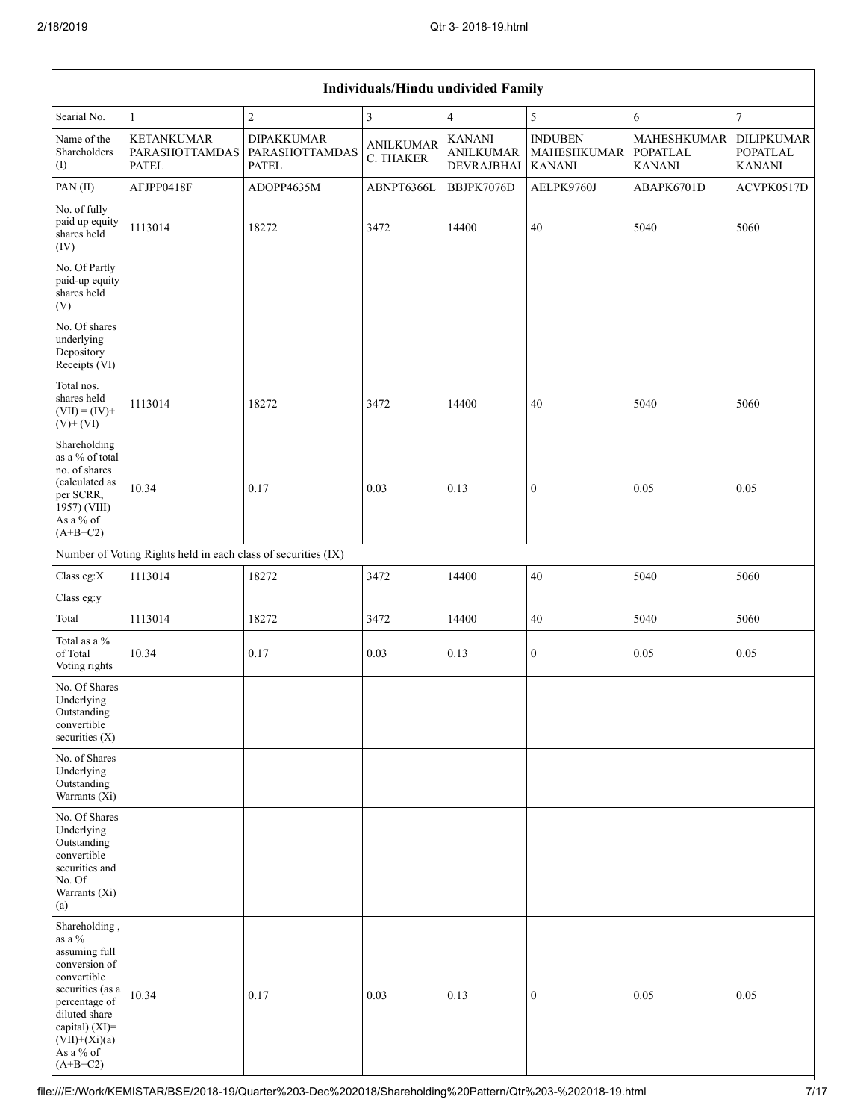|                                                                                                                                                                                                | Individuals/Hindu undivided Family                            |                                                     |                               |                                                 |                                                |                                                        |                                                |  |  |
|------------------------------------------------------------------------------------------------------------------------------------------------------------------------------------------------|---------------------------------------------------------------|-----------------------------------------------------|-------------------------------|-------------------------------------------------|------------------------------------------------|--------------------------------------------------------|------------------------------------------------|--|--|
| Searial No.                                                                                                                                                                                    | $\mathbf{1}$                                                  | $\boldsymbol{2}$                                    | 3                             | $\overline{4}$                                  | 5                                              | 6                                                      | $\overline{7}$                                 |  |  |
| Name of the<br>Shareholders<br>(I)                                                                                                                                                             | <b>KETANKUMAR</b><br><b>PARASHOTTAMDAS</b><br><b>PATEL</b>    | <b>DIPAKKUMAR</b><br>PARASHOTTAMDAS<br><b>PATEL</b> | <b>ANILKUMAR</b><br>C. THAKER | <b>KANANI</b><br><b>ANILKUMAR</b><br>DEVRAJBHAI | <b>INDUBEN</b><br>MAHESHKUMAR<br><b>KANANI</b> | <b>MAHESHKUMAR</b><br><b>POPATLAL</b><br><b>KANANI</b> | DILIPKUMAR<br><b>POPATLAL</b><br><b>KANANI</b> |  |  |
| PAN(II)                                                                                                                                                                                        | AFJPP0418F                                                    | ADOPP4635M                                          | ABNPT6366L                    | BBJPK7076D                                      | AELPK9760J                                     | ABAPK6701D                                             | ACVPK0517D                                     |  |  |
| No. of fully<br>paid up equity<br>shares held<br>(IV)                                                                                                                                          | 1113014                                                       | 18272                                               | 3472                          | 14400                                           | 40                                             | 5040                                                   | 5060                                           |  |  |
| No. Of Partly<br>paid-up equity<br>shares held<br>(V)                                                                                                                                          |                                                               |                                                     |                               |                                                 |                                                |                                                        |                                                |  |  |
| No. Of shares<br>underlying<br>Depository<br>Receipts (VI)                                                                                                                                     |                                                               |                                                     |                               |                                                 |                                                |                                                        |                                                |  |  |
| Total nos.<br>shares held<br>$(VII) = (IV) +$<br>$(V)$ + $(VI)$                                                                                                                                | 1113014                                                       | 18272                                               | 3472                          | 14400                                           | 40                                             | 5040                                                   | 5060                                           |  |  |
| Shareholding<br>as a % of total<br>no. of shares<br>(calculated as<br>per SCRR,<br>1957) (VIII)<br>As a % of<br>$(A+B+C2)$                                                                     | 10.34                                                         | 0.17                                                | 0.03                          | 0.13                                            | $\boldsymbol{0}$                               | 0.05                                                   | 0.05                                           |  |  |
|                                                                                                                                                                                                | Number of Voting Rights held in each class of securities (IX) |                                                     |                               |                                                 |                                                |                                                        |                                                |  |  |
| Class eg:X                                                                                                                                                                                     | 1113014                                                       | 18272                                               | 3472                          | 14400                                           | 40                                             | 5040                                                   | 5060                                           |  |  |
| Class eg:y                                                                                                                                                                                     |                                                               |                                                     |                               |                                                 |                                                |                                                        |                                                |  |  |
| Total                                                                                                                                                                                          | 1113014                                                       | 18272                                               | 3472                          | 14400                                           | $40\,$                                         | 5040                                                   | 5060                                           |  |  |
| Total as a $\%$<br>of Total<br>Voting rights                                                                                                                                                   | 10.34                                                         | 0.17                                                | 0.03                          | 0.13                                            | $\bf{0}$                                       | 0.05                                                   | 0.05                                           |  |  |
| No. Of Shares<br>Underlying<br>Outstanding<br>convertible<br>securities (X)                                                                                                                    |                                                               |                                                     |                               |                                                 |                                                |                                                        |                                                |  |  |
| No. of Shares<br>Underlying<br>Outstanding<br>Warrants (Xi)                                                                                                                                    |                                                               |                                                     |                               |                                                 |                                                |                                                        |                                                |  |  |
| No. Of Shares<br>Underlying<br>Outstanding<br>convertible<br>securities and<br>No. Of<br>Warrants (Xi)<br>(a)                                                                                  |                                                               |                                                     |                               |                                                 |                                                |                                                        |                                                |  |  |
| Shareholding,<br>as a %<br>assuming full<br>conversion of<br>convertible<br>securities (as a<br>percentage of<br>diluted share<br>capital) (XI)=<br>$(VII)+(Xi)(a)$<br>As a % of<br>$(A+B+C2)$ | 10.34                                                         | 0.17                                                | 0.03                          | 0.13                                            | $\boldsymbol{0}$                               | 0.05                                                   | 0.05                                           |  |  |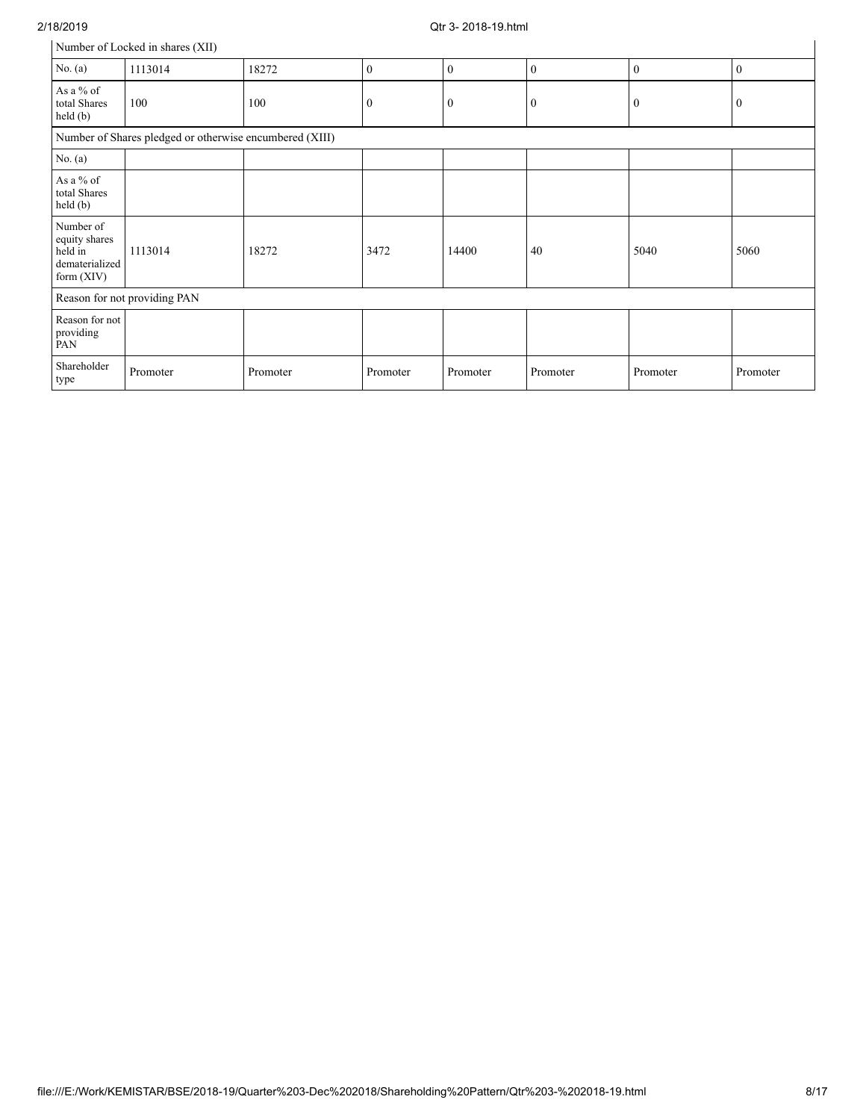| 2/18/2019                                                             |                                                         |          |                  | Otr 3-2018-19.html |                  |                  |              |
|-----------------------------------------------------------------------|---------------------------------------------------------|----------|------------------|--------------------|------------------|------------------|--------------|
|                                                                       | Number of Locked in shares (XII)                        |          |                  |                    |                  |                  |              |
| No. $(a)$                                                             | 1113014                                                 | 18272    | $\mathbf{0}$     | $\mathbf{0}$       | $\mathbf{0}$     | $\mathbf{0}$     | $\mathbf{0}$ |
| As a % of<br>total Shares<br>held (b)                                 | 100                                                     | 100      | $\boldsymbol{0}$ | $\bf{0}$           | $\boldsymbol{0}$ | $\boldsymbol{0}$ | $\bf{0}$     |
|                                                                       | Number of Shares pledged or otherwise encumbered (XIII) |          |                  |                    |                  |                  |              |
| No. $(a)$                                                             |                                                         |          |                  |                    |                  |                  |              |
| As a % of<br>total Shares<br>held (b)                                 |                                                         |          |                  |                    |                  |                  |              |
| Number of<br>equity shares<br>held in<br>dematerialized<br>form (XIV) | 1113014                                                 | 18272    | 3472             | 14400              | 40               | 5040             | 5060         |
|                                                                       | Reason for not providing PAN                            |          |                  |                    |                  |                  |              |
| Reason for not<br>providing<br>PAN                                    |                                                         |          |                  |                    |                  |                  |              |
| Shareholder<br>type                                                   | Promoter                                                | Promoter | Promoter         | Promoter           | Promoter         | Promoter         | Promoter     |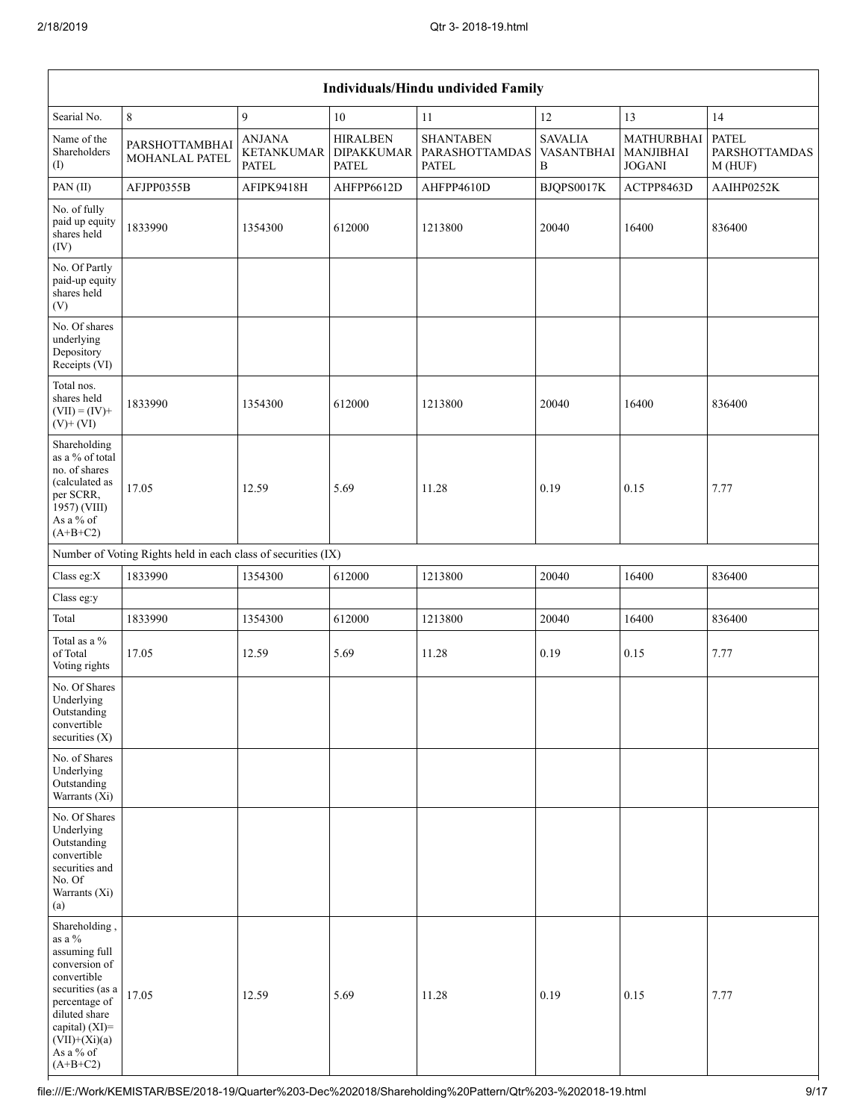|                                                                                                                                                                                                      |                                                               |                                             |                                                      | Individuals/Hindu undivided Family                        |                                          |                                          |                                  |
|------------------------------------------------------------------------------------------------------------------------------------------------------------------------------------------------------|---------------------------------------------------------------|---------------------------------------------|------------------------------------------------------|-----------------------------------------------------------|------------------------------------------|------------------------------------------|----------------------------------|
| Searial No.                                                                                                                                                                                          | $8\,$                                                         | 9                                           | 10                                                   | 11                                                        | 12                                       | 13                                       | 14                               |
| Name of the<br>Shareholders<br>(1)                                                                                                                                                                   | PARSHOTTAMBHAI<br>MOHANLAL PATEL                              | <b>ANJANA</b><br>KETANKUMAR<br><b>PATEL</b> | <b>HIRALBEN</b><br><b>DIPAKKUMAR</b><br><b>PATEL</b> | <b>SHANTABEN</b><br><b>PARASHOTTAMDAS</b><br><b>PATEL</b> | <b>SAVALIA</b><br><b>VASANTBHAI</b><br>B | MATHURBHAI<br>MANJIBHAI<br><b>JOGANI</b> | PATEL<br>PARSHOTTAMDAS<br>M(HUF) |
| PAN(II)                                                                                                                                                                                              | AFJPP0355B                                                    | AFIPK9418H                                  | AHFPP6612D                                           | AHFPP4610D                                                | BJQPS0017K                               | ACTPP8463D                               | AAIHP0252K                       |
| No. of fully<br>paid up equity<br>shares held<br>(IV)                                                                                                                                                | 1833990                                                       | 1354300                                     | 612000                                               | 1213800                                                   | 20040                                    | 16400                                    | 836400                           |
| No. Of Partly<br>paid-up equity<br>shares held<br>(V)                                                                                                                                                |                                                               |                                             |                                                      |                                                           |                                          |                                          |                                  |
| No. Of shares<br>underlying<br>Depository<br>Receipts (VI)                                                                                                                                           |                                                               |                                             |                                                      |                                                           |                                          |                                          |                                  |
| Total nos.<br>shares held<br>$(VII) = (IV) +$<br>$(V)$ + $(VI)$                                                                                                                                      | 1833990                                                       | 1354300                                     | 612000                                               | 1213800                                                   | 20040                                    | 16400                                    | 836400                           |
| Shareholding<br>as a % of total<br>no. of shares<br>(calculated as<br>per SCRR,<br>1957) (VIII)<br>As a % of<br>$(A+B+C2)$                                                                           | 17.05                                                         | 12.59                                       | 5.69                                                 | 11.28                                                     | 0.19                                     | 0.15                                     | 7.77                             |
|                                                                                                                                                                                                      | Number of Voting Rights held in each class of securities (IX) |                                             |                                                      |                                                           |                                          |                                          |                                  |
| Class eg: $X$                                                                                                                                                                                        | 1833990                                                       | 1354300                                     | 612000                                               | 1213800                                                   | 20040                                    | 16400                                    | 836400                           |
| Class eg:y                                                                                                                                                                                           |                                                               |                                             |                                                      |                                                           |                                          |                                          |                                  |
| Total                                                                                                                                                                                                | 1833990                                                       | 1354300                                     | 612000                                               | 1213800                                                   | 20040                                    | 16400                                    | 836400                           |
| Total as a %<br>of Total<br>Voting rights                                                                                                                                                            | 17.05                                                         | 12.59                                       | 5.69                                                 | 11.28                                                     | 0.19                                     | 0.15                                     | 7.77                             |
| No. Of Shares<br>Underlying<br>Outstanding<br>convertible<br>securities (X)                                                                                                                          |                                                               |                                             |                                                      |                                                           |                                          |                                          |                                  |
| No. of Shares<br>Underlying<br>Outstanding<br>Warrants (Xi)                                                                                                                                          |                                                               |                                             |                                                      |                                                           |                                          |                                          |                                  |
| No. Of Shares<br>Underlying<br>Outstanding<br>convertible<br>securities and<br>No. Of<br>Warrants (Xi)<br>(a)                                                                                        |                                                               |                                             |                                                      |                                                           |                                          |                                          |                                  |
| Shareholding,<br>as a $\%$<br>assuming full<br>conversion of<br>convertible<br>securities (as a<br>percentage of<br>diluted share<br>capital) $(XI)$ =<br>$(VII)+(Xi)(a)$<br>As a % of<br>$(A+B+C2)$ | 17.05                                                         | 12.59                                       | 5.69                                                 | 11.28                                                     | 0.19                                     | 0.15                                     | 7.77                             |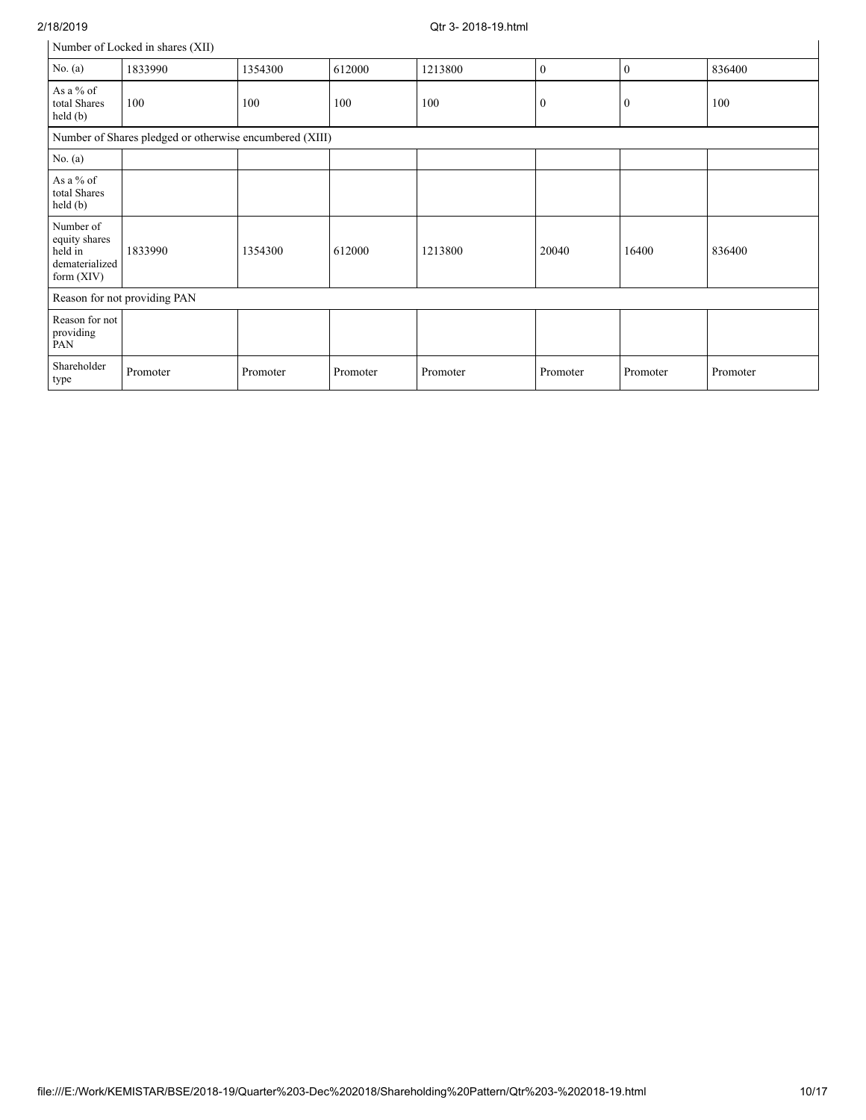## 2/18/2019 Qtr 3- 2018-19.html

| Number of Locked in shares (XII) |  |
|----------------------------------|--|
|----------------------------------|--|

|                                                                         | Number of Locked in shares (XII) |          |          |          |              |              |          |  |  |  |
|-------------------------------------------------------------------------|----------------------------------|----------|----------|----------|--------------|--------------|----------|--|--|--|
| No. $(a)$                                                               | 1833990                          | 1354300  | 612000   | 1213800  | $\mathbf{0}$ | $\bf{0}$     | 836400   |  |  |  |
| As a % of<br>total Shares<br>held(b)                                    | 100                              | 100      | 100      | 100      | $\bf{0}$     | $\mathbf{0}$ | 100      |  |  |  |
| Number of Shares pledged or otherwise encumbered (XIII)                 |                                  |          |          |          |              |              |          |  |  |  |
| No. (a)                                                                 |                                  |          |          |          |              |              |          |  |  |  |
| As a % of<br>total Shares<br>held (b)                                   |                                  |          |          |          |              |              |          |  |  |  |
| Number of<br>equity shares<br>held in<br>dematerialized<br>form $(XIV)$ | 1833990                          | 1354300  | 612000   | 1213800  | 20040        | 16400        | 836400   |  |  |  |
|                                                                         | Reason for not providing PAN     |          |          |          |              |              |          |  |  |  |
| Reason for not<br>providing<br>PAN                                      |                                  |          |          |          |              |              |          |  |  |  |
| Shareholder<br>type                                                     | Promoter                         | Promoter | Promoter | Promoter | Promoter     | Promoter     | Promoter |  |  |  |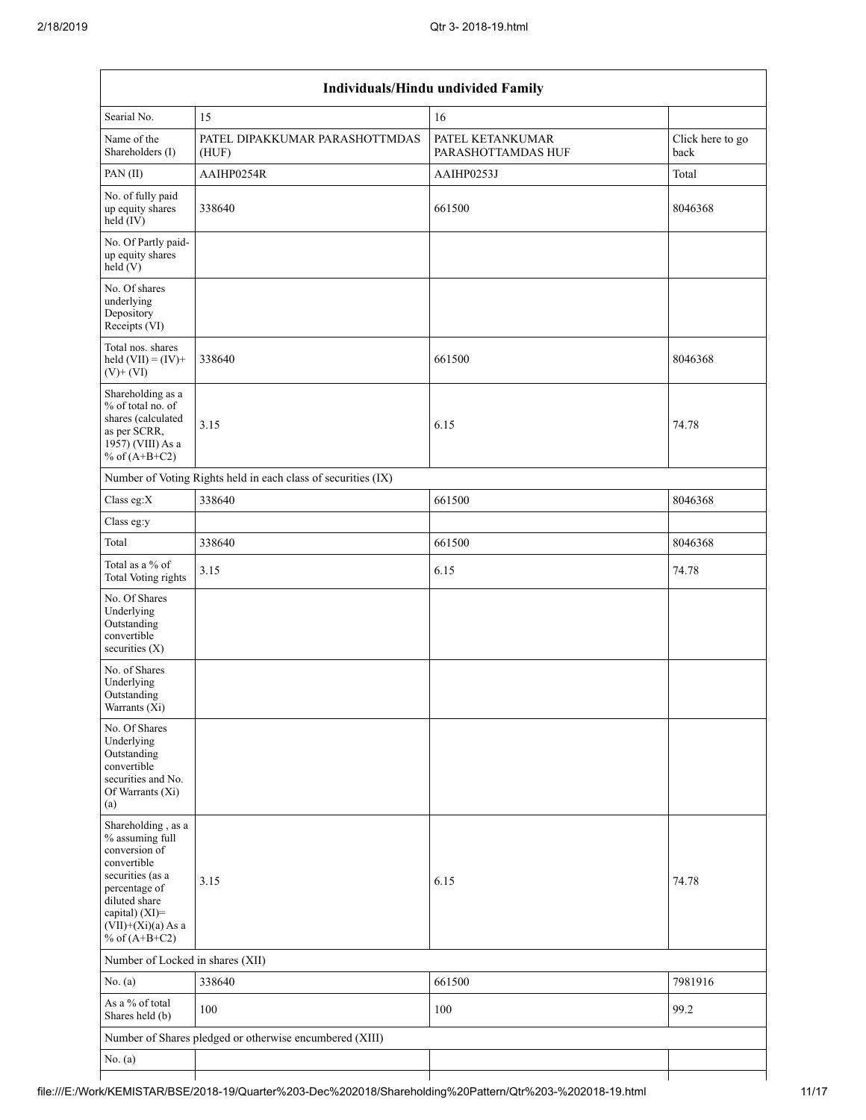| Individuals/Hindu undivided Family                                                                                                                                                       |                                                               |                                        |                          |  |  |  |  |  |
|------------------------------------------------------------------------------------------------------------------------------------------------------------------------------------------|---------------------------------------------------------------|----------------------------------------|--------------------------|--|--|--|--|--|
| Searial No.                                                                                                                                                                              | 15                                                            | 16                                     |                          |  |  |  |  |  |
| Name of the<br>Shareholders (I)                                                                                                                                                          | PATEL DIPAKKUMAR PARASHOTTMDAS<br>(HUF)                       | PATEL KETANKUMAR<br>PARASHOTTAMDAS HUF | Click here to go<br>back |  |  |  |  |  |
| PAN(II)                                                                                                                                                                                  | AAIHP0254R                                                    | AAIHP0253J                             | Total                    |  |  |  |  |  |
| No. of fully paid<br>up equity shares<br>$held$ (IV)                                                                                                                                     | 338640                                                        | 661500                                 | 8046368                  |  |  |  |  |  |
| No. Of Partly paid-<br>up equity shares<br>held(V)                                                                                                                                       |                                                               |                                        |                          |  |  |  |  |  |
| No. Of shares<br>underlying<br>Depository<br>Receipts (VI)                                                                                                                               |                                                               |                                        |                          |  |  |  |  |  |
| Total nos. shares<br>held $(VII) = (IV) +$<br>$(V)$ + $(VI)$                                                                                                                             | 338640                                                        | 661500                                 | 8046368                  |  |  |  |  |  |
| Shareholding as a<br>% of total no. of<br>shares (calculated<br>as per SCRR,<br>1957) (VIII) As a<br>% of $(A+B+C2)$                                                                     | 3.15                                                          | 6.15                                   | 74.78                    |  |  |  |  |  |
|                                                                                                                                                                                          | Number of Voting Rights held in each class of securities (IX) |                                        |                          |  |  |  |  |  |
| Class eg:X                                                                                                                                                                               | 338640                                                        | 661500                                 | 8046368                  |  |  |  |  |  |
| Class eg:y                                                                                                                                                                               |                                                               |                                        |                          |  |  |  |  |  |
| Total                                                                                                                                                                                    | 338640                                                        | 661500                                 | 8046368                  |  |  |  |  |  |
| Total as a % of<br><b>Total Voting rights</b>                                                                                                                                            | 3.15                                                          | 6.15                                   | 74.78                    |  |  |  |  |  |
| No. Of Shares<br>Underlying<br>Outstanding<br>convertible<br>securities $(X)$                                                                                                            |                                                               |                                        |                          |  |  |  |  |  |
| No. of Shares<br>Underlying<br>Outstanding<br>Warrants (Xi)                                                                                                                              |                                                               |                                        |                          |  |  |  |  |  |
| No. Of Shares<br>Underlying<br>Outstanding<br>convertible<br>securities and No.<br>Of Warrants (Xi)<br>(a)                                                                               |                                                               |                                        |                          |  |  |  |  |  |
| Shareholding, as a<br>% assuming full<br>conversion of<br>convertible<br>securities (as a<br>percentage of<br>diluted share<br>capital) (XI)=<br>$(VII)+(Xi)(a)$ As a<br>% of $(A+B+C2)$ | 3.15                                                          | 6.15                                   | 74.78                    |  |  |  |  |  |
| Number of Locked in shares (XII)                                                                                                                                                         |                                                               |                                        |                          |  |  |  |  |  |
| No. (a)                                                                                                                                                                                  | 338640                                                        | 661500                                 | 7981916                  |  |  |  |  |  |
| As a % of total<br>Shares held (b)                                                                                                                                                       | 100                                                           | 100                                    | 99.2                     |  |  |  |  |  |
|                                                                                                                                                                                          | Number of Shares pledged or otherwise encumbered (XIII)       |                                        |                          |  |  |  |  |  |
| No. $(a)$                                                                                                                                                                                |                                                               |                                        |                          |  |  |  |  |  |
|                                                                                                                                                                                          |                                                               |                                        |                          |  |  |  |  |  |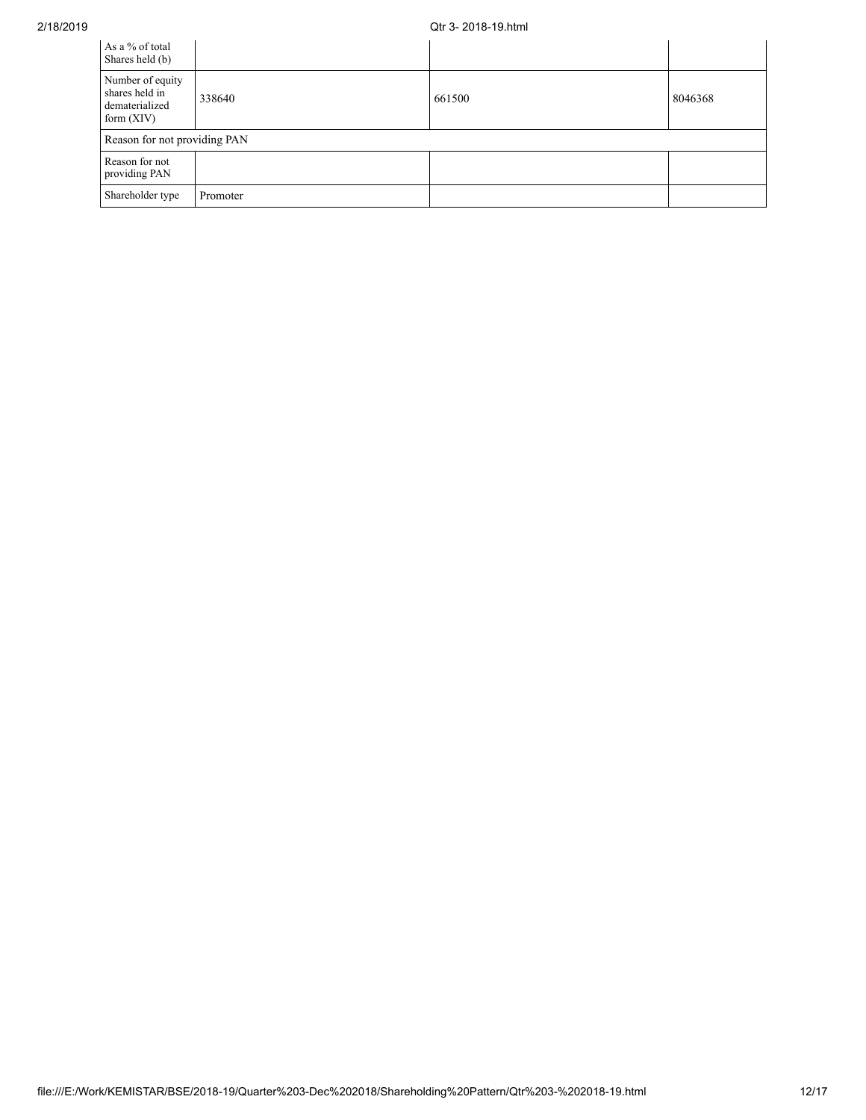### 2/18/2019 Qtr 3- 2018-19.html

| As a % of total<br>Shares held (b)                                   |          |        |         |
|----------------------------------------------------------------------|----------|--------|---------|
| Number of equity<br>shares held in<br>dematerialized<br>form $(XIV)$ | 338640   | 661500 | 8046368 |
| Reason for not providing PAN                                         |          |        |         |
| Reason for not<br>providing PAN                                      |          |        |         |
| Shareholder type                                                     | Promoter |        |         |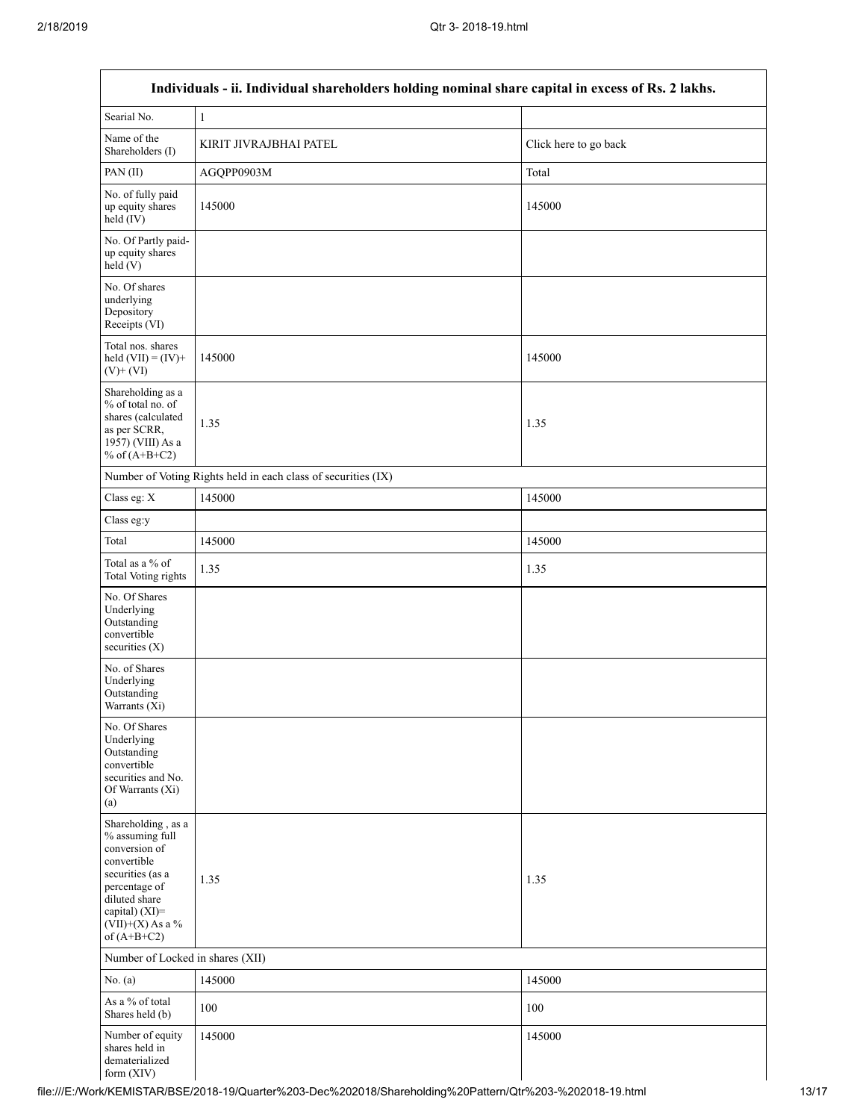Г

| Individuals - ii. Individual shareholders holding nominal share capital in excess of Rs. 2 lakhs.                                                                                    |                                                               |                       |  |
|--------------------------------------------------------------------------------------------------------------------------------------------------------------------------------------|---------------------------------------------------------------|-----------------------|--|
| Searial No.                                                                                                                                                                          | $\,1\,$                                                       |                       |  |
| Name of the<br>Shareholders (I)                                                                                                                                                      | KIRIT JIVRAJBHAI PATEL                                        | Click here to go back |  |
| PAN(II)                                                                                                                                                                              | AGQPP0903M                                                    | Total                 |  |
| No. of fully paid<br>up equity shares<br>held (IV)                                                                                                                                   | 145000                                                        | 145000                |  |
| No. Of Partly paid-<br>up equity shares<br>held(V)                                                                                                                                   |                                                               |                       |  |
| No. Of shares<br>underlying<br>Depository<br>Receipts (VI)                                                                                                                           |                                                               |                       |  |
| Total nos. shares<br>held $(VII) = (IV) +$<br>$(V)$ + $(VI)$                                                                                                                         | 145000                                                        | 145000                |  |
| Shareholding as a<br>% of total no. of<br>shares (calculated<br>as per SCRR,<br>1957) (VIII) As a<br>% of $(A+B+C2)$                                                                 | 1.35                                                          | 1.35                  |  |
|                                                                                                                                                                                      | Number of Voting Rights held in each class of securities (IX) |                       |  |
| Class eg: X                                                                                                                                                                          | 145000                                                        | 145000                |  |
| Class eg:y                                                                                                                                                                           |                                                               |                       |  |
| Total                                                                                                                                                                                | 145000                                                        | 145000                |  |
| Total as a % of<br><b>Total Voting rights</b>                                                                                                                                        | 1.35                                                          | 1.35                  |  |
| No. Of Shares<br>Underlying<br>Outstanding<br>convertible<br>securities $(X)$                                                                                                        |                                                               |                       |  |
| No. of Shares<br>Underlying<br>Outstanding<br>Warrants (Xi)                                                                                                                          |                                                               |                       |  |
| No. Of Shares<br>Underlying<br>Outstanding<br>convertible<br>securities and No.<br>Of Warrants (Xi)<br>(a)                                                                           |                                                               |                       |  |
| Shareholding, as a<br>% assuming full<br>conversion of<br>convertible<br>securities (as a<br>percentage of<br>diluted share<br>capital) (XI)=<br>$(VII)+(X)$ As a %<br>of $(A+B+C2)$ | 1.35                                                          | 1.35                  |  |
| Number of Locked in shares (XII)                                                                                                                                                     |                                                               |                       |  |
| No. $(a)$                                                                                                                                                                            | 145000                                                        | 145000                |  |
| As a % of total<br>Shares held (b)                                                                                                                                                   | 100                                                           | 100                   |  |
| Number of equity<br>shares held in<br>dematerialized<br>form (XIV)                                                                                                                   | 145000                                                        | 145000                |  |

file:///E:/Work/KEMISTAR/BSE/2018-19/Quarter%203-Dec%202018/Shareholding%20Pattern/Qtr%203-%202018-19.html 13/17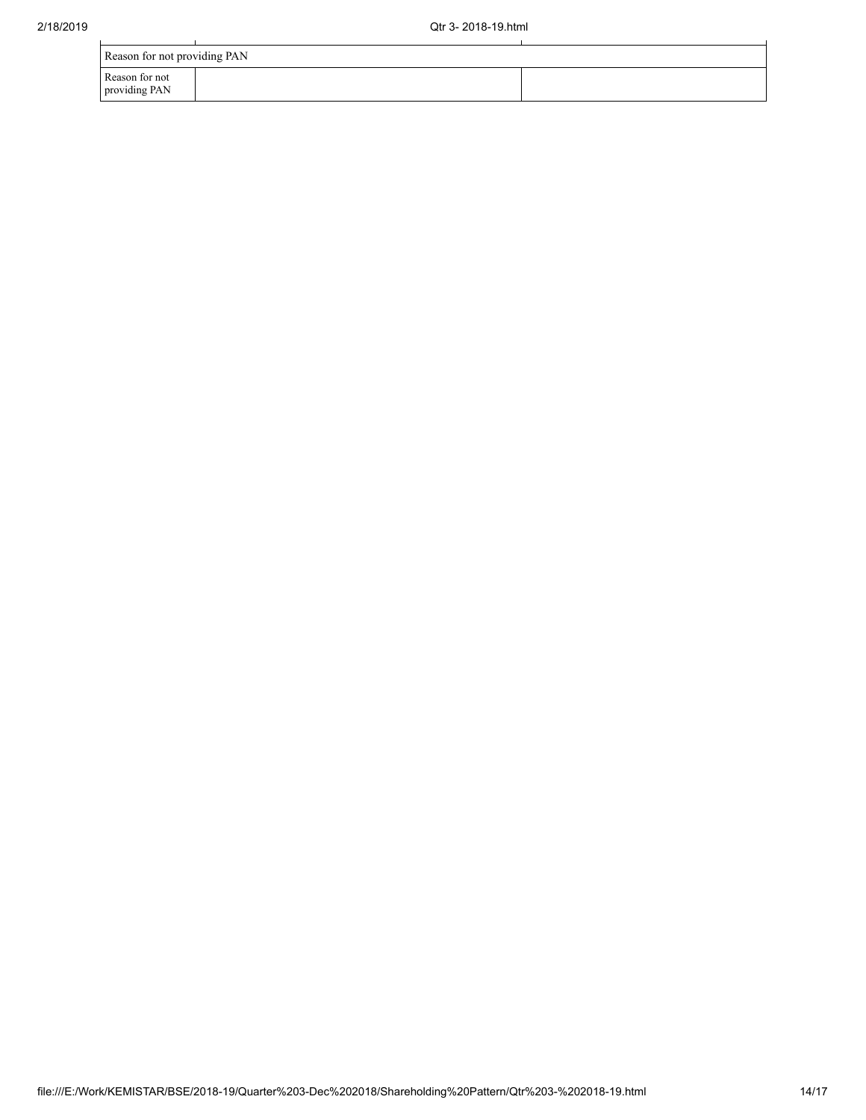| Reason for not providing PAN    |  |  |  |
|---------------------------------|--|--|--|
| Reason for not<br>providing PAN |  |  |  |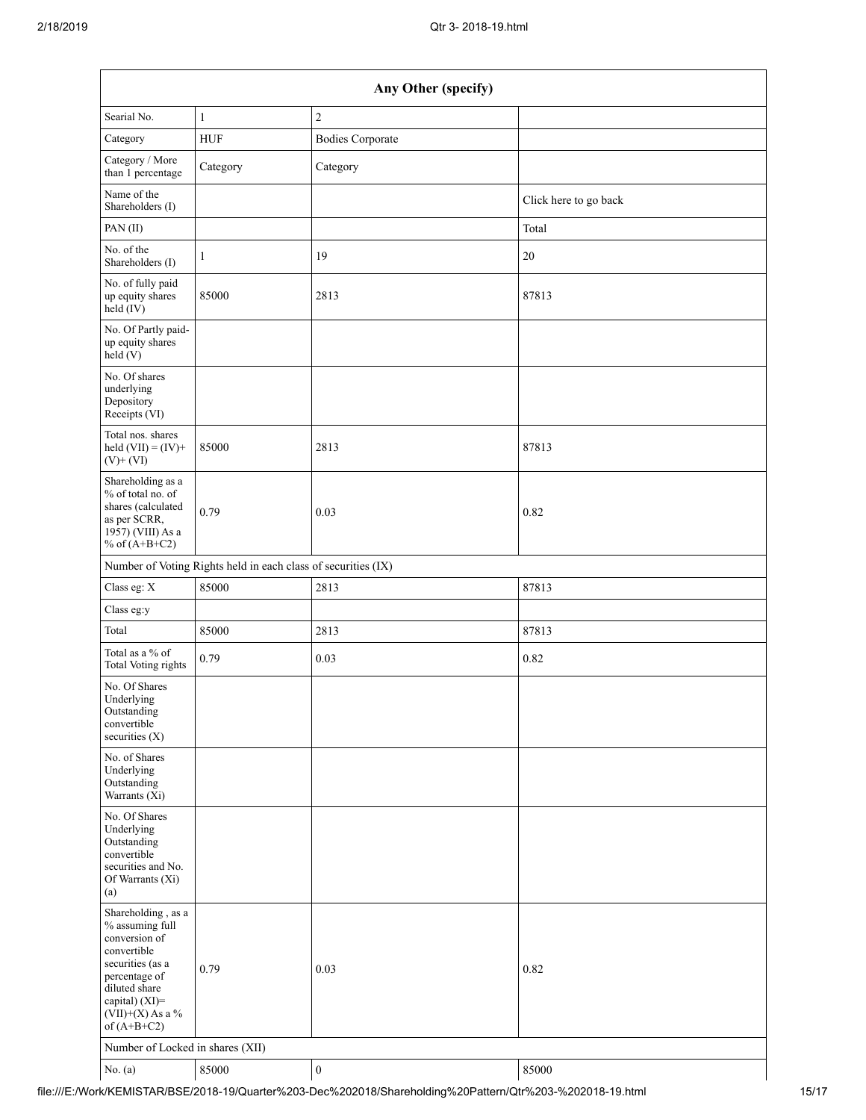| Any Other (specify)                                                                                                                                                                  |                                                               |                         |                       |  |
|--------------------------------------------------------------------------------------------------------------------------------------------------------------------------------------|---------------------------------------------------------------|-------------------------|-----------------------|--|
| Searial No.                                                                                                                                                                          | $\mathbf{1}$                                                  | $\overline{2}$          |                       |  |
| Category                                                                                                                                                                             | <b>HUF</b>                                                    | <b>Bodies Corporate</b> |                       |  |
| Category / More<br>than 1 percentage                                                                                                                                                 | Category                                                      | Category                |                       |  |
| Name of the<br>Shareholders (I)                                                                                                                                                      |                                                               |                         | Click here to go back |  |
| PAN(II)                                                                                                                                                                              |                                                               |                         | Total                 |  |
| No. of the<br>Shareholders (I)                                                                                                                                                       | $\mathbf{1}$                                                  | 19                      | 20                    |  |
| No. of fully paid<br>up equity shares<br>held $(V)$                                                                                                                                  | 85000                                                         | 2813                    | 87813                 |  |
| No. Of Partly paid-<br>up equity shares<br>held (V)                                                                                                                                  |                                                               |                         |                       |  |
| No. Of shares<br>underlying<br>Depository<br>Receipts (VI)                                                                                                                           |                                                               |                         |                       |  |
| Total nos. shares<br>held $(VII) = (IV) +$<br>$(V)$ + $(VI)$                                                                                                                         | 85000                                                         | 2813                    | 87813                 |  |
| Shareholding as a<br>% of total no. of<br>shares (calculated<br>as per SCRR,<br>1957) (VIII) As a<br>% of $(A+B+C2)$                                                                 | 0.79                                                          | 0.03                    | 0.82                  |  |
|                                                                                                                                                                                      | Number of Voting Rights held in each class of securities (IX) |                         |                       |  |
| Class eg: X                                                                                                                                                                          | 85000                                                         | 2813                    | 87813                 |  |
| Class eg:y                                                                                                                                                                           |                                                               |                         |                       |  |
| Total                                                                                                                                                                                | 85000                                                         | 2813                    | 87813                 |  |
| Total as a % of<br><b>Total Voting rights</b>                                                                                                                                        | 0.79                                                          | 0.03                    | 0.82                  |  |
| No. Of Shares<br>Underlying<br>Outstanding<br>convertible<br>securities $(X)$                                                                                                        |                                                               |                         |                       |  |
| No. of Shares<br>Underlying<br>Outstanding<br>Warrants (Xi)                                                                                                                          |                                                               |                         |                       |  |
| No. Of Shares<br>Underlying<br>Outstanding<br>convertible<br>securities and No.<br>Of Warrants (Xi)<br>(a)                                                                           |                                                               |                         |                       |  |
| Shareholding, as a<br>% assuming full<br>conversion of<br>convertible<br>securities (as a<br>percentage of<br>diluted share<br>capital) (XI)=<br>$(VII)+(X)$ As a %<br>of $(A+B+C2)$ | 0.79                                                          | 0.03                    | 0.82                  |  |
| Number of Locked in shares (XII)                                                                                                                                                     |                                                               |                         |                       |  |
| No. $(a)$                                                                                                                                                                            | 85000                                                         | $\boldsymbol{0}$        | 85000                 |  |

file:///E:/Work/KEMISTAR/BSE/2018-19/Quarter%203-Dec%202018/Shareholding%20Pattern/Qtr%203-%202018-19.html 15/17